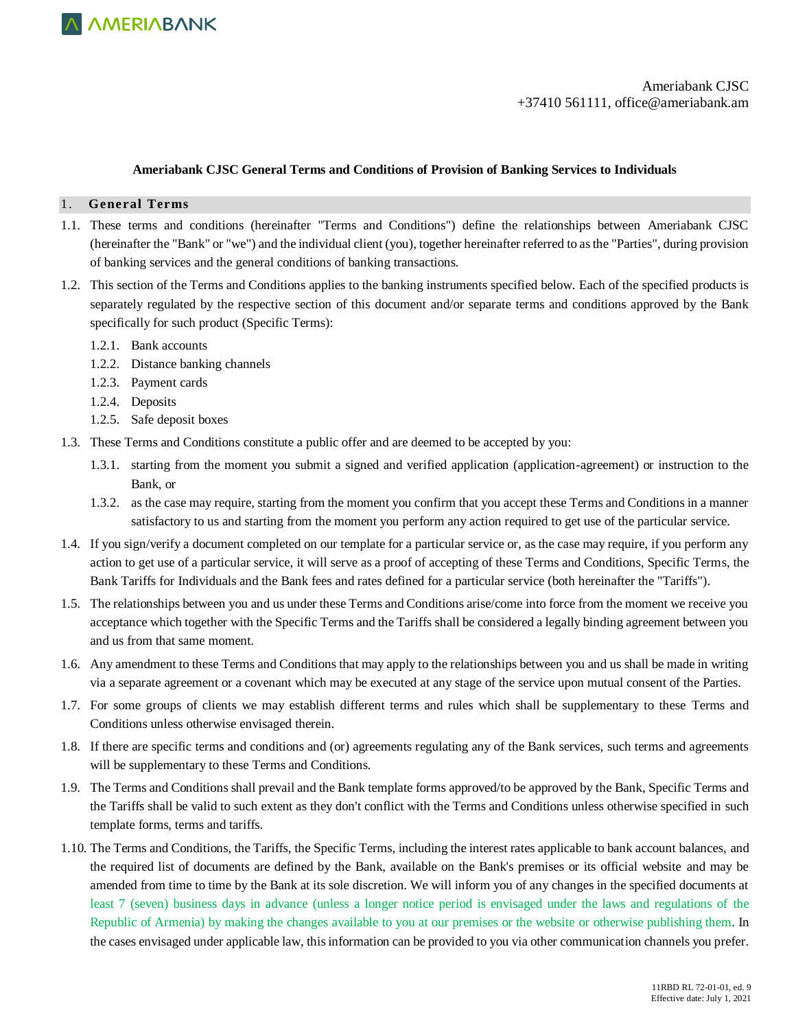

#### **Ameriabank CJSC General Terms and Conditions of Provision of Banking Services to Individuals**

#### 1. **General Terms**

- 1.1. These terms and conditions (hereinafter "Terms and Conditions") define the relationships between Ameriabank CJSC (hereinafter the "Bank" or "we") and the individual client (you), together hereinafter referred to as the "Parties", during provision of banking services and the general conditions of banking transactions.
- 1.2. This section of the Terms and Conditions applies to the banking instruments specified below. Each of the specified products is separately regulated by the respective section of this document and/or separate terms and conditions approved by the Bank specifically for such product (Specific Terms):
	- 1.2.1. Bank accounts
	- 1.2.2. Distance banking channels
	- 1.2.3. Payment cards
	- 1.2.4. Deposits
	- 1.2.5. Safe deposit boxes
- 1.3. These Terms and Conditions constitute a public offer and are deemed to be accepted by you:
	- 1.3.1. starting from the moment you submit a signed and verified application (application-agreement) or instruction to the Bank, or
	- 1.3.2. as the case may require, starting from the moment you confirm that you accept these Terms and Conditions in a manner satisfactory to us and starting from the moment you perform any action required to get use of the particular service.
- 1.4. If you sign/verify a document completed on our template for a particular service or, as the case may require, if you perform any action to get use of a particular service, it will serve as a proof of accepting of these Terms and Conditions, Specific Terms, the Bank Tariffs for Individuals and the Bank fees and rates defined for a particular service (both hereinafter the "Tariffs").
- 1.5. The relationships between you and us under these Terms and Conditions arise/come into force from the moment we receive you acceptance which together with the Specific Terms and the Tariffs shall be considered a legally binding agreement between you and us from that same moment.
- 1.6. Any amendment to these Terms and Conditions that may apply to the relationships between you and us shall be made in writing via a separate agreement or a covenant which may be executed at any stage of the service upon mutual consent of the Parties.
- 1.7. For some groups of clients we may establish different terms and rules which shall be supplementary to these Terms and Conditions unless otherwise envisaged therein.
- 1.8. If there are specific terms and conditions and (or) agreements regulating any of the Bank services, such terms and agreements will be supplementary to these Terms and Conditions.
- 1.9. The Terms and Conditions shall prevail and the Bank template forms approved/to be approved by the Bank, Specific Terms and the Tariffs shall be valid to such extent as they don't conflict with the Terms and Conditions unless otherwise specified in such template forms, terms and tariffs.
- 1.10. The Terms and Conditions, the Tariffs, the Specific Terms, including the interest rates applicable to bank account balances, and the required list of documents are defined by the Bank, available on the Bank's premises or its official website and may be amended from time to time by the Bank at its sole discretion. We will inform you of any changes in the specified documents at least 7 (seven) business days in advance (unless a longer notice period is envisaged under the laws and regulations of the Republic of Armenia) by making the changes available to you at our premises or the website or otherwise publishing them. In the cases envisaged under applicable law, this information can be provided to you via other communication channels you prefer.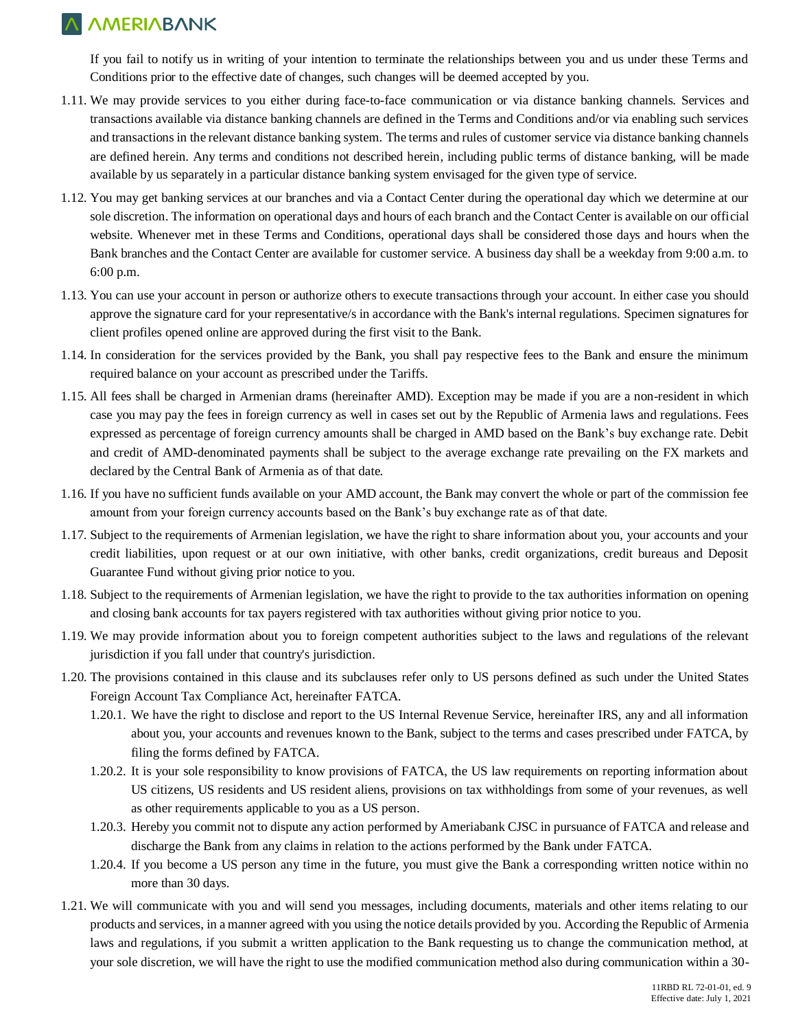If you fail to notify us in writing of your intention to terminate the relationships between you and us under these Terms and Conditions prior to the effective date of changes, such changes will be deemed accepted by you.

- 1.11. We may provide services to you either during face-to-face communication or via distance banking channels. Services and transactions available via distance banking channels are defined in the Terms and Conditions and/or via enabling such services and transactions in the relevant distance banking system. The terms and rules of customer service via distance banking channels are defined herein. Any terms and conditions not described herein, including public terms of distance banking, will be made available by us separately in a particular distance banking system envisaged for the given type of service.
- 1.12. You may get banking services at our branches and via a Contact Center during the operational day which we determine at our sole discretion. The information on operational days and hours of each branch and the Contact Center is available on our official website. Whenever met in these Terms and Conditions, operational days shall be considered those days and hours when the Bank branches and the Contact Center are available for customer service. A business day shall be a weekday from 9:00 a.m. to 6:00 p.m.
- 1.13. You can use your account in person or authorize others to execute transactions through your account. In either case you should approve the signature card for your representative/s in accordance with the Bank's internal regulations. Specimen signatures for client profiles opened online are approved during the first visit to the Bank.
- 1.14. In consideration for the services provided by the Bank, you shall pay respective fees to the Bank and ensure the minimum required balance on your account as prescribed under the Tariffs.
- 1.15. All fees shall be charged in Armenian drams (hereinafter AMD). Exception may be made if you are a non-resident in which case you may pay the fees in foreign currency as well in cases set out by the Republic of Armenia laws and regulations. Fees expressed as percentage of foreign currency amounts shall be charged in AMD based on the Bank's buy exchange rate. Debit and credit of AMD-denominated payments shall be subject to the average exchange rate prevailing on the FX markets and declared by the Central Bank of Armenia as of that date.
- 1.16. If you have no sufficient funds available on your AMD account, the Bank may convert the whole or part of the commission fee amount from your foreign currency accounts based on the Bank's buy exchange rate as of that date.
- 1.17. Subject to the requirements of Armenian legislation, we have the right to share information about you, your accounts and your credit liabilities, upon request or at our own initiative, with other banks, credit organizations, credit bureaus and Deposit Guarantee Fund without giving prior notice to you.
- 1.18. Subject to the requirements of Armenian legislation, we have the right to provide to the tax authorities information on opening and closing bank accounts for tax payers registered with tax authorities without giving prior notice to you.
- 1.19. We may provide information about you to foreign competent authorities subject to the laws and regulations of the relevant jurisdiction if you fall under that country's jurisdiction.
- 1.20. The provisions contained in this clause and its subclauses refer only to US persons defined as such under the United States Foreign Account Tax Compliance Act, hereinafter FATCA.
	- 1.20.1. We have the right to disclose and report to the US Internal Revenue Service, hereinafter IRS, any and all information about you, your accounts and revenues known to the Bank, subject to the terms and cases prescribed under FATCA, by filing the forms defined by FATCA.
	- 1.20.2. It is your sole responsibility to know provisions of FATCA, the US law requirements on reporting information about US citizens, US residents and US resident aliens, provisions on tax withholdings from some of your revenues, as well as other requirements applicable to you as a US person.
	- 1.20.3. Hereby you commit not to dispute any action performed by Ameriabank CJSC in pursuance of FATCA and release and discharge the Bank from any claims in relation to the actions performed by the Bank under FATCA.
	- 1.20.4. If you become a US person any time in the future, you must give the Bank a corresponding written notice within no more than 30 days.
- 1.21. We will communicate with you and will send you messages, including documents, materials and other items relating to our products and services, in a manner agreed with you using the notice details provided by you. According the Republic of Armenia laws and regulations, if you submit a written application to the Bank requesting us to change the communication method, at your sole discretion, we will have the right to use the modified communication method also during communication within a 30-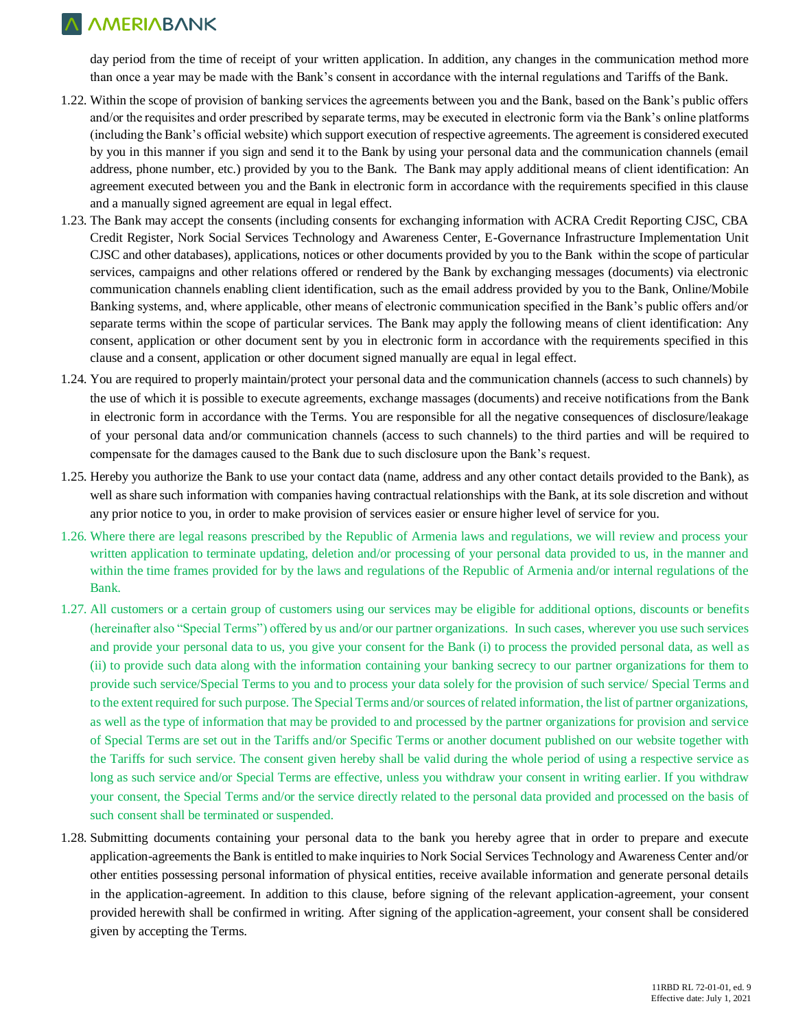day period from the time of receipt of your written application. In addition, any changes in the communication method more than once a year may be made with the Bank's consent in accordance with the internal regulations and Tariffs of the Bank.

- 1.22. Within the scope of provision of banking services the agreements between you and the Bank, based on the Bank's public offers and/or the requisites and order prescribed by separate terms, may be executed in electronic form via the Bank's online platforms (including the Bank's official website) which support execution of respective agreements. The agreement is considered executed by you in this manner if you sign and send it to the Bank by using your personal data and the communication channels (email address, phone number, etc.) provided by you to the Bank. The Bank may apply additional means of client identification: An agreement executed between you and the Bank in electronic form in accordance with the requirements specified in this clause and a manually signed agreement are equal in legal effect.
- 1.23. The Bank may accept the consents (including consents for exchanging information with ACRA Credit Reporting CJSC, CBA Credit Register, Nork Social Services Technology and Awareness Center, E-Governance Infrastructure Implementation Unit CJSC and other databases), applications, notices or other documents provided by you to the Bank within the scope of particular services, campaigns and other relations offered or rendered by the Bank by exchanging messages (documents) via electronic communication channels enabling client identification, such as the email address provided by you to the Bank, Online/Mobile Banking systems, and, where applicable, other means of electronic communication specified in the Bank's public offers and/or separate terms within the scope of particular services. The Bank may apply the following means of client identification: Any consent, application or other document sent by you in electronic form in accordance with the requirements specified in this clause and a consent, application or other document signed manually are equal in legal effect.
- 1.24. You are required to properly maintain/protect your personal data and the communication channels (access to such channels) by the use of which it is possible to execute agreements, exchange massages (documents) and receive notifications from the Bank in electronic form in accordance with the Terms. You are responsible for all the negative consequences of disclosure/leakage of your personal data and/or communication channels (access to such channels) to the third parties and will be required to compensate for the damages caused to the Bank due to such disclosure upon the Bank's request.
- 1.25. Hereby you authorize the Bank to use your contact data (name, address and any other contact details provided to the Bank), as well as share such information with companies having contractual relationships with the Bank, at its sole discretion and without any prior notice to you, in order to make provision of services easier or ensure higher level of service for you.
- 1.26. Where there are legal reasons prescribed by the Republic of Armenia laws and regulations, we will review and process your written application to terminate updating, deletion and/or processing of your personal data provided to us, in the manner and within the time frames provided for by the laws and regulations of the Republic of Armenia and/or internal regulations of the Bank.
- 1.27. All customers or a certain group of customers using our services may be eligible for additional options, discounts or benefits (hereinafter also "Special Terms") offered by us and/or our partner organizations. In such cases, wherever you use such services and provide your personal data to us, you give your consent for the Bank (i) to process the provided personal data, as well as (ii) to provide such data along with the information containing your banking secrecy to our partner organizations for them to provide such service/Special Terms to you and to process your data solely for the provision of such service/ Special Terms and to the extent required for such purpose. The Special Terms and/or sources of related information, the list of partner organizations, as well as the type of information that may be provided to and processed by the partner organizations for provision and service of Special Terms are set out in the Tariffs and/or Specific Terms or another document published on our website together with the Tariffs for such service. The consent given hereby shall be valid during the whole period of using a respective service as long as such service and/or Special Terms are effective, unless you withdraw your consent in writing earlier. If you withdraw your consent, the Special Terms and/or the service directly related to the personal data provided and processed on the basis of such consent shall be terminated or suspended.
- 1.28. Submitting documents containing your personal data to the bank you hereby agree that in order to prepare and execute application-agreements the Bank is entitled to make inquiries to Nork Social Services Technology and Awareness Center and/or other entities possessing personal information of physical entities, receive available information and generate personal details in the application-agreement. In addition to this clause, before signing of the relevant application-agreement, your consent provided herewith shall be confirmed in writing. After signing of the application-agreement, your consent shall be considered given by accepting the Terms.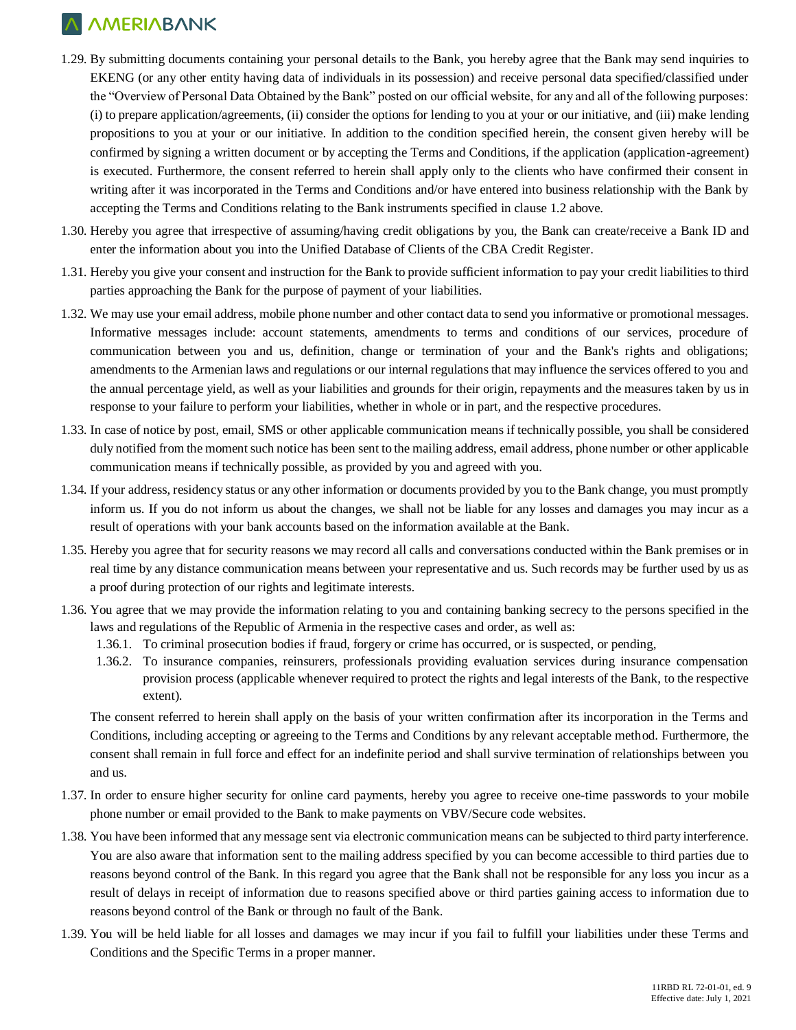- 1.29. By submitting documents containing your personal details to the Bank, you hereby agree that the Bank may send inquiries to EKENG (or any other entity having data of individuals in its possession) and receive personal data specified/classified under the "Overview of Personal Data Obtained by the Bank" posted on our official website, for any and all of the following purposes: (i) to prepare application/agreements, (ii) consider the options for lending to you at your or our initiative, and (iii) make lending propositions to you at your or our initiative. In addition to the condition specified herein, the consent given hereby will be confirmed by signing a written document or by accepting the Terms and Conditions, if the application (application-agreement) is executed. Furthermore, the consent referred to herein shall apply only to the clients who have confirmed their consent in writing after it was incorporated in the Terms and Conditions and/or have entered into business relationship with the Bank by accepting the Terms and Conditions relating to the Bank instruments specified in clause 1.2 above.
- 1.30. Hereby you agree that irrespective of assuming/having credit obligations by you, the Bank can create/receive a Bank ID and enter the information about you into the Unified Database of Clients of the CBA Credit Register.
- 1.31. Hereby you give your consent and instruction for the Bank to provide sufficient information to pay your credit liabilities to third parties approaching the Bank for the purpose of payment of your liabilities.
- 1.32. We may use your email address, mobile phone number and other contact data to send you informative or promotional messages. Informative messages include: account statements, amendments to terms and conditions of our services, procedure of communication between you and us, definition, change or termination of your and the Bank's rights and obligations; amendments to the Armenian laws and regulations or our internal regulations that may influence the services offered to you and the annual percentage yield, as well as your liabilities and grounds for their origin, repayments and the measures taken by us in response to your failure to perform your liabilities, whether in whole or in part, and the respective procedures.
- 1.33. In case of notice by post, email, SMS or other applicable communication means if technically possible, you shall be considered duly notified from the moment such notice has been sent to the mailing address, email address, phone number or other applicable communication means if technically possible, as provided by you and agreed with you.
- 1.34. If your address, residency status or any other information or documents provided by you to the Bank change, you must promptly inform us. If you do not inform us about the changes, we shall not be liable for any losses and damages you may incur as a result of operations with your bank accounts based on the information available at the Bank.
- 1.35. Hereby you agree that for security reasons we may record all calls and conversations conducted within the Bank premises or in real time by any distance communication means between your representative and us. Such records may be further used by us as a proof during protection of our rights and legitimate interests.
- 1.36. You agree that we may provide the information relating to you and containing banking secrecy to the persons specified in the laws and regulations of the Republic of Armenia in the respective cases and order, as well as:
	- 1.36.1. To criminal prosecution bodies if fraud, forgery or crime has occurred, or is suspected, or pending,
	- 1.36.2. To insurance companies, reinsurers, professionals providing evaluation services during insurance compensation provision process (applicable whenever required to protect the rights and legal interests of the Bank, to the respective extent).

The consent referred to herein shall apply on the basis of your written confirmation after its incorporation in the Terms and Conditions, including accepting or agreeing to the Terms and Conditions by any relevant acceptable method. Furthermore, the consent shall remain in full force and effect for an indefinite period and shall survive termination of relationships between you and us.

- 1.37. In order to ensure higher security for online card payments, hereby you agree to receive one-time passwords to your mobile phone number or email provided to the Bank to make payments on VBV/Secure code websites.
- 1.38. You have been informed that any message sent via electronic communication means can be subjected to third party interference. You are also aware that information sent to the mailing address specified by you can become accessible to third parties due to reasons beyond control of the Bank. In this regard you agree that the Bank shall not be responsible for any loss you incur as a result of delays in receipt of information due to reasons specified above or third parties gaining access to information due to reasons beyond control of the Bank or through no fault of the Bank.
- 1.39. You will be held liable for all losses and damages we may incur if you fail to fulfill your liabilities under these Terms and Conditions and the Specific Terms in a proper manner.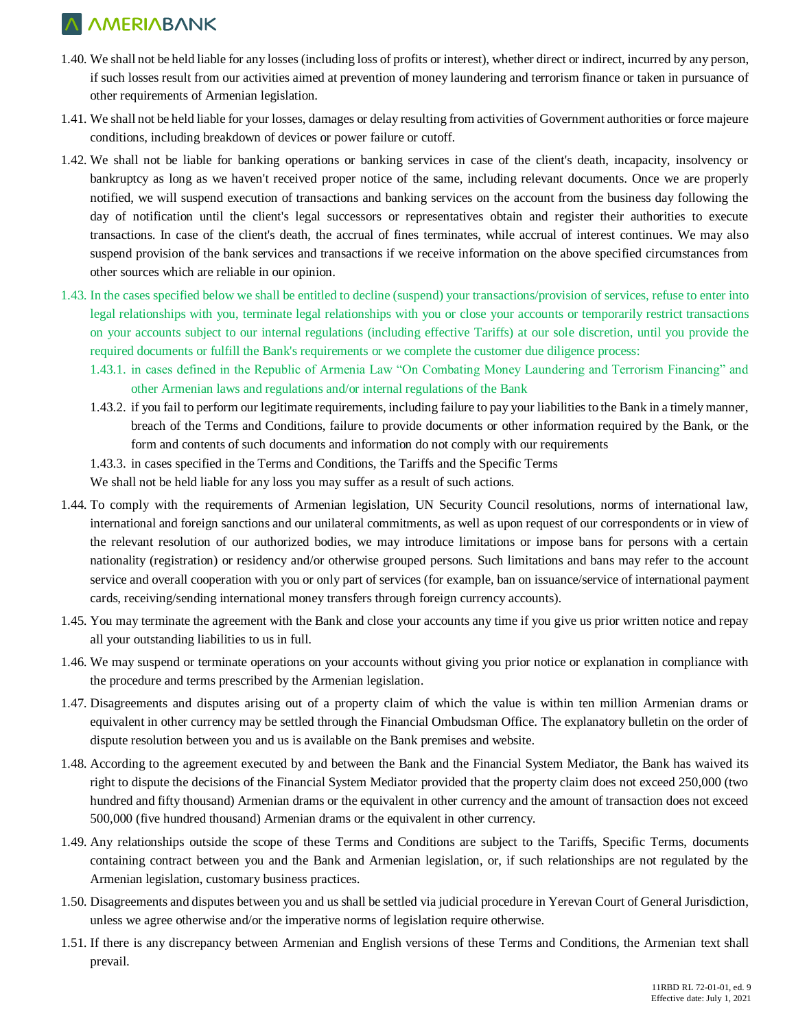- 1.40. We shall not be held liable for any losses (including loss of profits or interest), whether direct or indirect, incurred by any person, if such losses result from our activities aimed at prevention of money laundering and terrorism finance or taken in pursuance of other requirements of Armenian legislation.
- 1.41. We shall not be held liable for your losses, damages or delay resulting from activities of Government authorities or force majeure conditions, including breakdown of devices or power failure or cutoff.
- 1.42. We shall not be liable for banking operations or banking services in case of the client's death, incapacity, insolvency or bankruptcy as long as we haven't received proper notice of the same, including relevant documents. Once we are properly notified, we will suspend execution of transactions and banking services on the account from the business day following the day of notification until the client's legal successors or representatives obtain and register their authorities to execute transactions. In case of the client's death, the accrual of fines terminates, while accrual of interest continues. We may also suspend provision of the bank services and transactions if we receive information on the above specified circumstances from other sources which are reliable in our opinion.
- 1.43. In the cases specified below we shall be entitled to decline (suspend) your transactions/provision of services, refuse to enter into legal relationships with you, terminate legal relationships with you or close your accounts or temporarily restrict transactions on your accounts subject to our internal regulations (including effective Tariffs) at our sole discretion, until you provide the required documents or fulfill the Bank's requirements or we complete the customer due diligence process:
	- 1.43.1. in cases defined in the Republic of Armenia Law "On Combating Money Laundering and Terrorism Financing" and other Armenian laws and regulations and/or internal regulations of the Bank
	- 1.43.2. if you fail to perform our legitimate requirements, including failure to pay your liabilities to the Bank in a timely manner, breach of the Terms and Conditions, failure to provide documents or other information required by the Bank, or the form and contents of such documents and information do not comply with our requirements
	- 1.43.3. in cases specified in the Terms and Conditions, the Tariffs and the Specific Terms

We shall not be held liable for any loss you may suffer as a result of such actions.

- 1.44. To comply with the requirements of Armenian legislation, UN Security Council resolutions, norms of international law, international and foreign sanctions and our unilateral commitments, as well as upon request of our correspondents or in view of the relevant resolution of our authorized bodies, we may introduce limitations or impose bans for persons with a certain nationality (registration) or residency and/or otherwise grouped persons. Such limitations and bans may refer to the account service and overall cooperation with you or only part of services (for example, ban on issuance/service of international payment cards, receiving/sending international money transfers through foreign currency accounts).
- 1.45. You may terminate the agreement with the Bank and close your accounts any time if you give us prior written notice and repay all your outstanding liabilities to us in full.
- 1.46. We may suspend or terminate operations on your accounts without giving you prior notice or explanation in compliance with the procedure and terms prescribed by the Armenian legislation.
- 1.47. Disagreements and disputes arising out of a property claim of which the value is within ten million Armenian drams or equivalent in other currency may be settled through the Financial Ombudsman Office. The explanatory bulletin on the order of dispute resolution between you and us is available on the Bank premises and website.
- 1.48. According to the agreement executed by and between the Bank and the Financial System Mediator, the Bank has waived its right to dispute the decisions of the Financial System Mediator provided that the property claim does not exceed 250,000 (two hundred and fifty thousand) Armenian drams or the equivalent in other currency and the amount of transaction does not exceed 500,000 (five hundred thousand) Armenian drams or the equivalent in other currency.
- 1.49. Any relationships outside the scope of these Terms and Conditions are subject to the Tariffs, Specific Terms, documents containing contract between you and the Bank and Armenian legislation, or, if such relationships are not regulated by the Armenian legislation, customary business practices.
- 1.50. Disagreements and disputes between you and us shall be settled via judicial procedure in Yerevan Court of General Jurisdiction, unless we agree otherwise and/or the imperative norms of legislation require otherwise.
- 1.51. If there is any discrepancy between Armenian and English versions of these Terms and Conditions, the Armenian text shall prevail.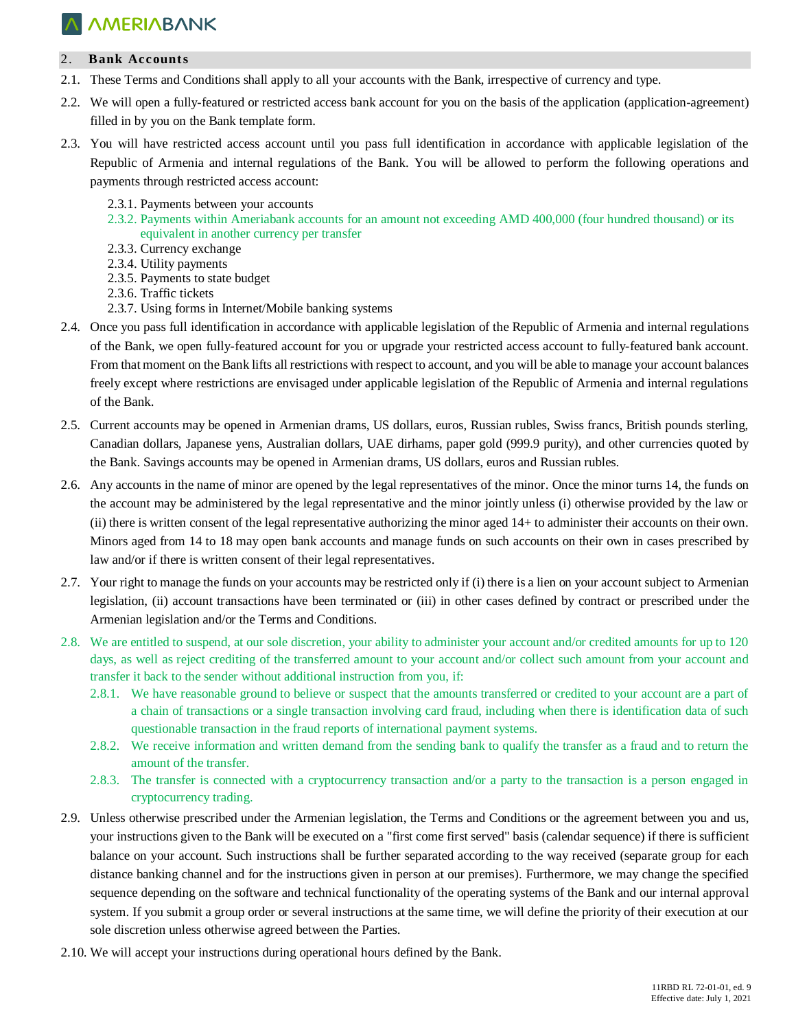### 2. **Bank Accounts**

- 2.1. These Terms and Conditions shall apply to all your accounts with the Bank, irrespective of currency and type.
- 2.2. We will open a fully-featured or restricted access bank account for you on the basis of the application (application-agreement) filled in by you on the Bank template form.
- 2.3. You will have restricted access account until you pass full identification in accordance with applicable legislation of the Republic of Armenia and internal regulations of the Bank. You will be allowed to perform the following operations and payments through restricted access account:
	- 2.3.1. Payments between your accounts
	- 2.3.2. Payments within Ameriabank accounts for an amount not exceeding AMD 400,000 (four hundred thousand) or its equivalent in another currency per transfer
	- 2.3.3. Currency exchange
	- 2.3.4. Utility payments
	- 2.3.5. Payments to state budget
	- 2.3.6. Traffic tickets
	- 2.3.7. Using forms in Internet/Mobile banking systems
- 2.4. Once you pass full identification in accordance with applicable legislation of the Republic of Armenia and internal regulations of the Bank, we open fully-featured account for you or upgrade your restricted access account to fully-featured bank account. From that moment on the Bank lifts all restrictions with respect to account, and you will be able to manage your account balances freely except where restrictions are envisaged under applicable legislation of the Republic of Armenia and internal regulations of the Bank.
- 2.5. Current accounts may be opened in Armenian drams, US dollars, euros, Russian rubles, Swiss francs, British pounds sterling, Canadian dollars, Japanese yens, Australian dollars, UAE dirhams, paper gold (999.9 purity), and other currencies quoted by the Bank. Savings accounts may be opened in Armenian drams, US dollars, euros and Russian rubles.
- 2.6. Any accounts in the name of minor are opened by the legal representatives of the minor. Once the minor turns 14, the funds on the account may be administered by the legal representative and the minor jointly unless (i) otherwise provided by the law or (ii) there is written consent of the legal representative authorizing the minor aged 14+ to administer their accounts on their own. Minors aged from 14 to 18 may open bank accounts and manage funds on such accounts on their own in cases prescribed by law and/or if there is written consent of their legal representatives.
- 2.7. Your right to manage the funds on your accounts may be restricted only if (i) there is a lien on your account subject to Armenian legislation, (ii) account transactions have been terminated or (iii) in other cases defined by contract or prescribed under the Armenian legislation and/or the Terms and Conditions.
- 2.8. We are entitled to suspend, at our sole discretion, your ability to administer your account and/or credited amounts for up to 120 days, as well as reject crediting of the transferred amount to your account and/or collect such amount from your account and transfer it back to the sender without additional instruction from you, if:
	- 2.8.1. We have reasonable ground to believe or suspect that the amounts transferred or credited to your account are a part of a chain of transactions or a single transaction involving card fraud, including when there is identification data of such questionable transaction in the fraud reports of international payment systems.
	- 2.8.2. We receive information and written demand from the sending bank to qualify the transfer as a fraud and to return the amount of the transfer.
	- 2.8.3. The transfer is connected with a cryptocurrency transaction and/or a party to the transaction is a person engaged in cryptocurrency trading.
- 2.9. Unless otherwise prescribed under the Armenian legislation, the Terms and Conditions or the agreement between you and us, your instructions given to the Bank will be executed on a "first come first served" basis (calendar sequence) if there is sufficient balance on your account. Such instructions shall be further separated according to the way received (separate group for each distance banking channel and for the instructions given in person at our premises). Furthermore, we may change the specified sequence depending on the software and technical functionality of the operating systems of the Bank and our internal approval system. If you submit a group order or several instructions at the same time, we will define the priority of their execution at our sole discretion unless otherwise agreed between the Parties.
- 2.10. We will accept your instructions during operational hours defined by the Bank.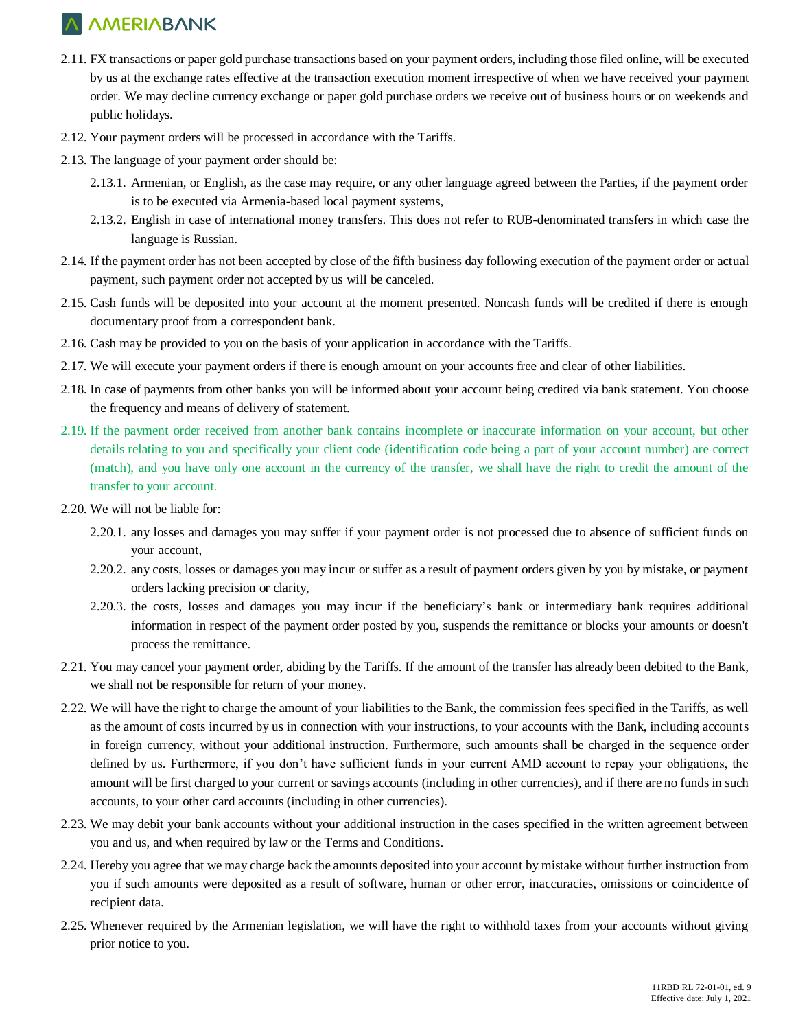- 2.11. FX transactions or paper gold purchase transactions based on your payment orders, including those filed online, will be executed by us at the exchange rates effective at the transaction execution moment irrespective of when we have received your payment order. We may decline currency exchange or paper gold purchase orders we receive out of business hours or on weekends and public holidays.
- 2.12. Your payment orders will be processed in accordance with the Tariffs.
- 2.13. The language of your payment order should be:
	- 2.13.1. Armenian, or English, as the case may require, or any other language agreed between the Parties, if the payment order is to be executed via Armenia-based local payment systems,
	- 2.13.2. English in case of international money transfers. This does not refer to RUB-denominated transfers in which case the language is Russian.
- 2.14. If the payment order has not been accepted by close of the fifth business day following execution of the payment order or actual payment, such payment order not accepted by us will be canceled.
- 2.15. Cash funds will be deposited into your account at the moment presented. Noncash funds will be credited if there is enough documentary proof from a correspondent bank.
- 2.16. Cash may be provided to you on the basis of your application in accordance with the Tariffs.
- 2.17. We will execute your payment orders if there is enough amount on your accounts free and clear of other liabilities.
- 2.18. In case of payments from other banks you will be informed about your account being credited via bank statement. You choose the frequency and means of delivery of statement.
- 2.19. If the payment order received from another bank contains incomplete or inaccurate information on your account, but other details relating to you and specifically your client code (identification code being a part of your account number) are correct (match), and you have only one account in the currency of the transfer, we shall have the right to credit the amount of the transfer to your account.
- 2.20. We will not be liable for:
	- 2.20.1. any losses and damages you may suffer if your payment order is not processed due to absence of sufficient funds on your account,
	- 2.20.2. any costs, losses or damages you may incur or suffer as a result of payment orders given by you by mistake, or payment orders lacking precision or clarity,
	- 2.20.3. the costs, losses and damages you may incur if the beneficiary's bank or intermediary bank requires additional information in respect of the payment order posted by you, suspends the remittance or blocks your amounts or doesn't process the remittance.
- 2.21. You may cancel your payment order, abiding by the Tariffs. If the amount of the transfer has already been debited to the Bank, we shall not be responsible for return of your money.
- 2.22. We will have the right to charge the amount of your liabilities to the Bank, the commission fees specified in the Tariffs, as well as the amount of costs incurred by us in connection with your instructions, to your accounts with the Bank, including accounts in foreign currency, without your additional instruction. Furthermore, such amounts shall be charged in the sequence order defined by us. Furthermore, if you don't have sufficient funds in your current AMD account to repay your obligations, the amount will be first charged to your current or savings accounts (including in other currencies), and if there are no funds in such accounts, to your other card accounts (including in other currencies).
- 2.23. We may debit your bank accounts without your additional instruction in the cases specified in the written agreement between you and us, and when required by law or the Terms and Conditions.
- 2.24. Hereby you agree that we may charge back the amounts deposited into your account by mistake without further instruction from you if such amounts were deposited as a result of software, human or other error, inaccuracies, omissions or coincidence of recipient data.
- 2.25. Whenever required by the Armenian legislation, we will have the right to withhold taxes from your accounts without giving prior notice to you.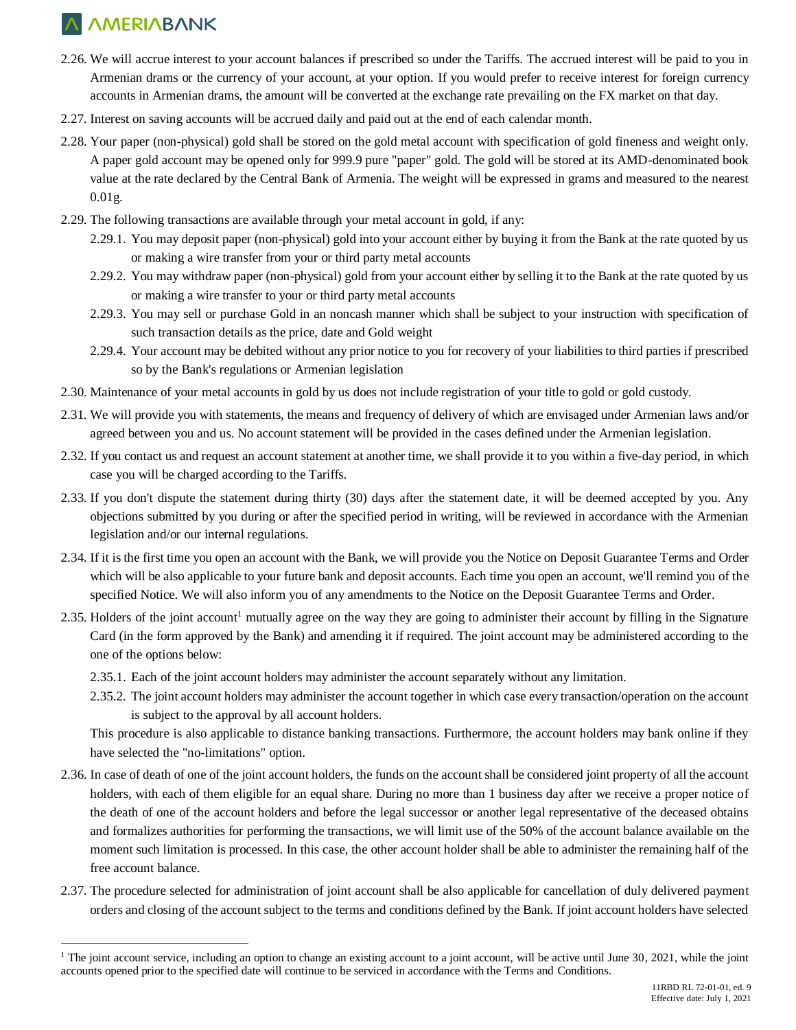$\overline{a}$ 

- 2.26. We will accrue interest to your account balances if prescribed so under the Tariffs. The accrued interest will be paid to you in Armenian drams or the currency of your account, at your option. If you would prefer to receive interest for foreign currency accounts in Armenian drams, the amount will be converted at the exchange rate prevailing on the FX market on that day.
- 2.27. Interest on saving accounts will be accrued daily and paid out at the end of each calendar month.
- 2.28. Your paper (non-physical) gold shall be stored on the gold metal account with specification of gold fineness and weight only. A paper gold account may be opened only for 999.9 pure "paper" gold. The gold will be stored at its AMD-denominated book value at the rate declared by the Central Bank of Armenia. The weight will be expressed in grams and measured to the nearest 0.01g.
- 2.29. The following transactions are available through your metal account in gold, if any:
	- 2.29.1. You may deposit paper (non-physical) gold into your account either by buying it from the Bank at the rate quoted by us or making a wire transfer from your or third party metal accounts
	- 2.29.2. You may withdraw paper (non-physical) gold from your account either by selling it to the Bank at the rate quoted by us or making a wire transfer to your or third party metal accounts
	- 2.29.3. You may sell or purchase Gold in an noncash manner which shall be subject to your instruction with specification of such transaction details as the price, date and Gold weight
	- 2.29.4. Your account may be debited without any prior notice to you for recovery of your liabilities to third parties if prescribed so by the Bank's regulations or Armenian legislation
- 2.30. Maintenance of your metal accounts in gold by us does not include registration of your title to gold or gold custody.
- 2.31. We will provide you with statements, the means and frequency of delivery of which are envisaged under Armenian laws and/or agreed between you and us. No account statement will be provided in the cases defined under the Armenian legislation.
- 2.32. If you contact us and request an account statement at another time, we shall provide it to you within a five-day period, in which case you will be charged according to the Tariffs.
- 2.33. If you don't dispute the statement during thirty (30) days after the statement date, it will be deemed accepted by you. Any objections submitted by you during or after the specified period in writing, will be reviewed in accordance with the Armenian legislation and/or our internal regulations.
- 2.34. If it is the first time you open an account with the Bank, we will provide you the Notice on Deposit Guarantee Terms and Order which will be also applicable to your future bank and deposit accounts. Each time you open an account, we'll remind you of the specified Notice. We will also inform you of any amendments to the Notice on the Deposit Guarantee Terms and Order.
- 2.35. Holders of the joint account<sup>1</sup> mutually agree on the way they are going to administer their account by filling in the Signature Card (in the form approved by the Bank) and amending it if required. The joint account may be administered according to the one of the options below:
	- 2.35.1. Each of the joint account holders may administer the account separately without any limitation.
	- 2.35.2. The joint account holders may administer the account together in which case every transaction/operation on the account is subject to the approval by all account holders.

This procedure is also applicable to distance banking transactions. Furthermore, the account holders may bank online if they have selected the "no-limitations" option.

- 2.36. In case of death of one of the joint account holders, the funds on the account shall be considered joint property of all the account holders, with each of them eligible for an equal share. During no more than 1 business day after we receive a proper notice of the death of one of the account holders and before the legal successor or another legal representative of the deceased obtains and formalizes authorities for performing the transactions, we will limit use of the 50% of the account balance available on the moment such limitation is processed. In this case, the other account holder shall be able to administer the remaining half of the free account balance.
- 2.37. The procedure selected for administration of joint account shall be also applicable for cancellation of duly delivered payment orders and closing of the account subject to the terms and conditions defined by the Bank. If joint account holders have selected

<sup>&</sup>lt;sup>1</sup> The joint account service, including an option to change an existing account to a joint account, will be active until June 30, 2021, while the joint accounts opened prior to the specified date will continue to be serviced in accordance with the Terms and Conditions.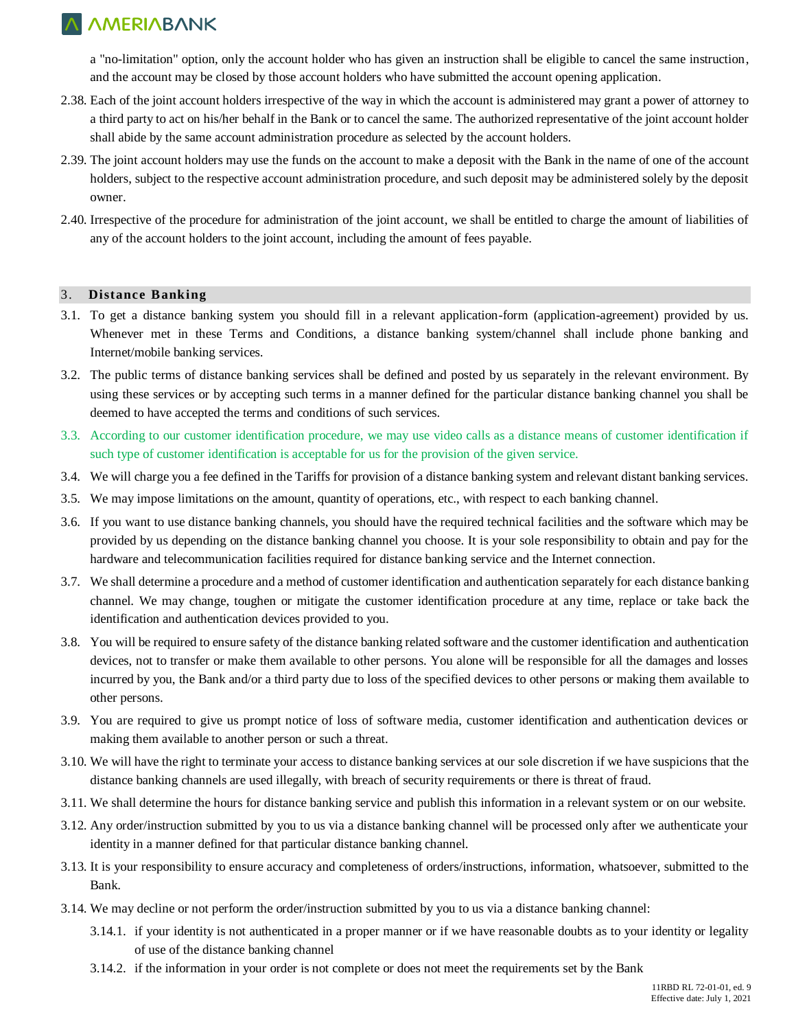a "no-limitation" option, only the account holder who has given an instruction shall be eligible to cancel the same instruction, and the account may be closed by those account holders who have submitted the account opening application.

- 2.38. Each of the joint account holders irrespective of the way in which the account is administered may grant a power of attorney to a third party to act on his/her behalf in the Bank or to cancel the same. The authorized representative of the joint account holder shall abide by the same account administration procedure as selected by the account holders.
- 2.39. The joint account holders may use the funds on the account to make a deposit with the Bank in the name of one of the account holders, subject to the respective account administration procedure, and such deposit may be administered solely by the deposit owner.
- 2.40. Irrespective of the procedure for administration of the joint account, we shall be entitled to charge the amount of liabilities of any of the account holders to the joint account, including the amount of fees payable.

### 3. **Distance Banking**

- 3.1. To get a distance banking system you should fill in a relevant application-form (application-agreement) provided by us. Whenever met in these Terms and Conditions, a distance banking system/channel shall include phone banking and Internet/mobile banking services.
- 3.2. The public terms of distance banking services shall be defined and posted by us separately in the relevant environment. By using these services or by accepting such terms in a manner defined for the particular distance banking channel you shall be deemed to have accepted the terms and conditions of such services.
- 3.3. According to our customer identification procedure, we may use video calls as a distance means of customer identification if such type of customer identification is acceptable for us for the provision of the given service.
- 3.4. We will charge you a fee defined in the Tariffs for provision of a distance banking system and relevant distant banking services.
- 3.5. We may impose limitations on the amount, quantity of operations, etc., with respect to each banking channel.
- 3.6. If you want to use distance banking channels, you should have the required technical facilities and the software which may be provided by us depending on the distance banking channel you choose. It is your sole responsibility to obtain and pay for the hardware and telecommunication facilities required for distance banking service and the Internet connection.
- 3.7. We shall determine a procedure and a method of customer identification and authentication separately for each distance banking channel. We may change, toughen or mitigate the customer identification procedure at any time, replace or take back the identification and authentication devices provided to you.
- 3.8. You will be required to ensure safety of the distance banking related software and the customer identification and authentication devices, not to transfer or make them available to other persons. You alone will be responsible for all the damages and losses incurred by you, the Bank and/or a third party due to loss of the specified devices to other persons or making them available to other persons.
- 3.9. You are required to give us prompt notice of loss of software media, customer identification and authentication devices or making them available to another person or such a threat.
- 3.10. We will have the right to terminate your access to distance banking services at our sole discretion if we have suspicions that the distance banking channels are used illegally, with breach of security requirements or there is threat of fraud.
- 3.11. We shall determine the hours for distance banking service and publish this information in a relevant system or on our website.
- 3.12. Any order/instruction submitted by you to us via a distance banking channel will be processed only after we authenticate your identity in a manner defined for that particular distance banking channel.
- 3.13. It is your responsibility to ensure accuracy and completeness of orders/instructions, information, whatsoever, submitted to the Bank.
- 3.14. We may decline or not perform the order/instruction submitted by you to us via a distance banking channel:
	- 3.14.1. if your identity is not authenticated in a proper manner or if we have reasonable doubts as to your identity or legality of use of the distance banking channel
	- 3.14.2. if the information in your order is not complete or does not meet the requirements set by the Bank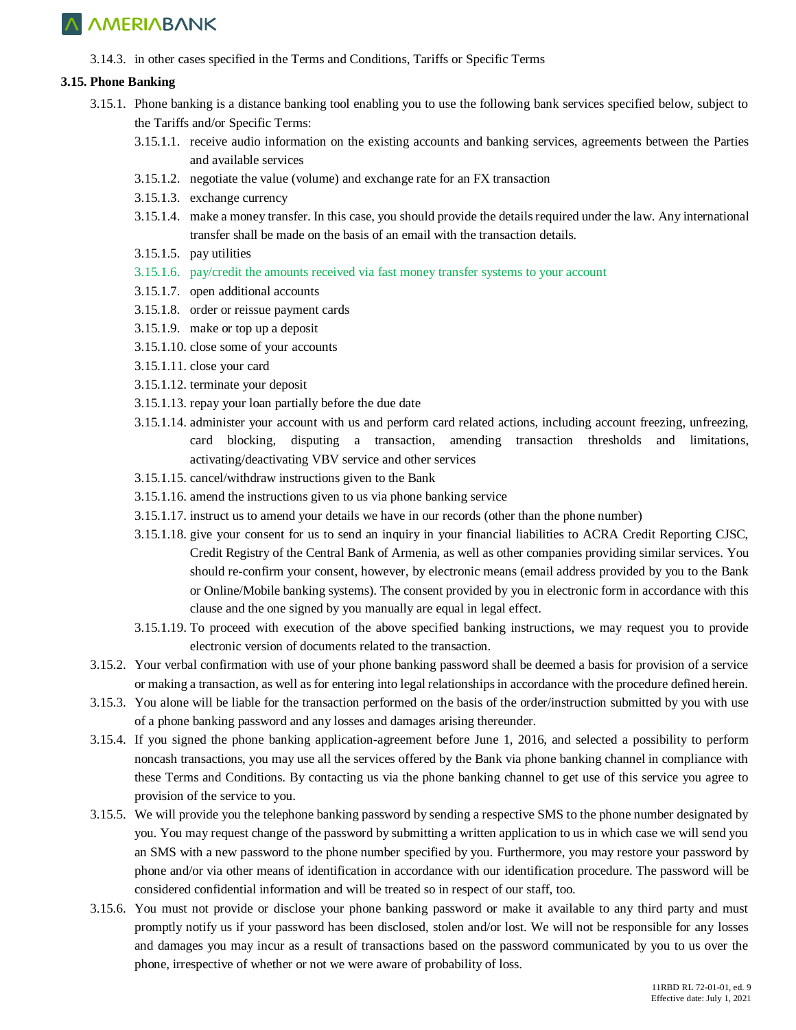3.14.3. in other cases specified in the Terms and Conditions, Tariffs or Specific Terms

### **3.15. Phone Banking**

- 3.15.1. Phone banking is a distance banking tool enabling you to use the following bank services specified below, subject to the Tariffs and/or Specific Terms:
	- 3.15.1.1. receive audio information on the existing accounts and banking services, agreements between the Parties and available services
	- 3.15.1.2. negotiate the value (volume) and exchange rate for an FX transaction
	- 3.15.1.3. exchange currency
	- 3.15.1.4. make a money transfer. In this case, you should provide the details required under the law. Any international transfer shall be made on the basis of an email with the transaction details.
	- 3.15.1.5. pay utilities
	- 3.15.1.6. pay/credit the amounts received via fast money transfer systems to your account
	- 3.15.1.7. open additional accounts
	- 3.15.1.8. order or reissue payment cards
	- 3.15.1.9. make or top up a deposit
	- 3.15.1.10. close some of your accounts
	- 3.15.1.11. close your card
	- 3.15.1.12. terminate your deposit
	- 3.15.1.13. repay your loan partially before the due date
	- 3.15.1.14. administer your account with us and perform card related actions, including account freezing, unfreezing, card blocking, disputing a transaction, amending transaction thresholds and limitations, activating/deactivating VBV service and other services
	- 3.15.1.15. cancel/withdraw instructions given to the Bank
	- 3.15.1.16. amend the instructions given to us via phone banking service
	- 3.15.1.17. instruct us to amend your details we have in our records (other than the phone number)
	- 3.15.1.18. give your consent for us to send an inquiry in your financial liabilities to ACRA Credit Reporting CJSC, Credit Registry of the Central Bank of Armenia, as well as other companies providing similar services. You should re-confirm your consent, however, by electronic means (email address provided by you to the Bank or Online/Mobile banking systems). The consent provided by you in electronic form in accordance with this clause and the one signed by you manually are equal in legal effect.
	- 3.15.1.19. To proceed with execution of the above specified banking instructions, we may request you to provide electronic version of documents related to the transaction.
- 3.15.2. Your verbal confirmation with use of your phone banking password shall be deemed a basis for provision of a service or making a transaction, as well as for entering into legal relationships in accordance with the procedure defined herein.
- 3.15.3. You alone will be liable for the transaction performed on the basis of the order/instruction submitted by you with use of a phone banking password and any losses and damages arising thereunder.
- 3.15.4. If you signed the phone banking application-agreement before June 1, 2016, and selected a possibility to perform noncash transactions, you may use all the services offered by the Bank via phone banking channel in compliance with these Terms and Conditions. By contacting us via the phone banking channel to get use of this service you agree to provision of the service to you.
- 3.15.5. We will provide you the telephone banking password by sending a respective SMS to the phone number designated by you. You may request change of the password by submitting a written application to us in which case we will send you an SMS with a new password to the phone number specified by you. Furthermore, you may restore your password by phone and/or via other means of identification in accordance with our identification procedure. The password will be considered confidential information and will be treated so in respect of our staff, too.
- 3.15.6. You must not provide or disclose your phone banking password or make it available to any third party and must promptly notify us if your password has been disclosed, stolen and/or lost. We will not be responsible for any losses and damages you may incur as a result of transactions based on the password communicated by you to us over the phone, irrespective of whether or not we were aware of probability of loss.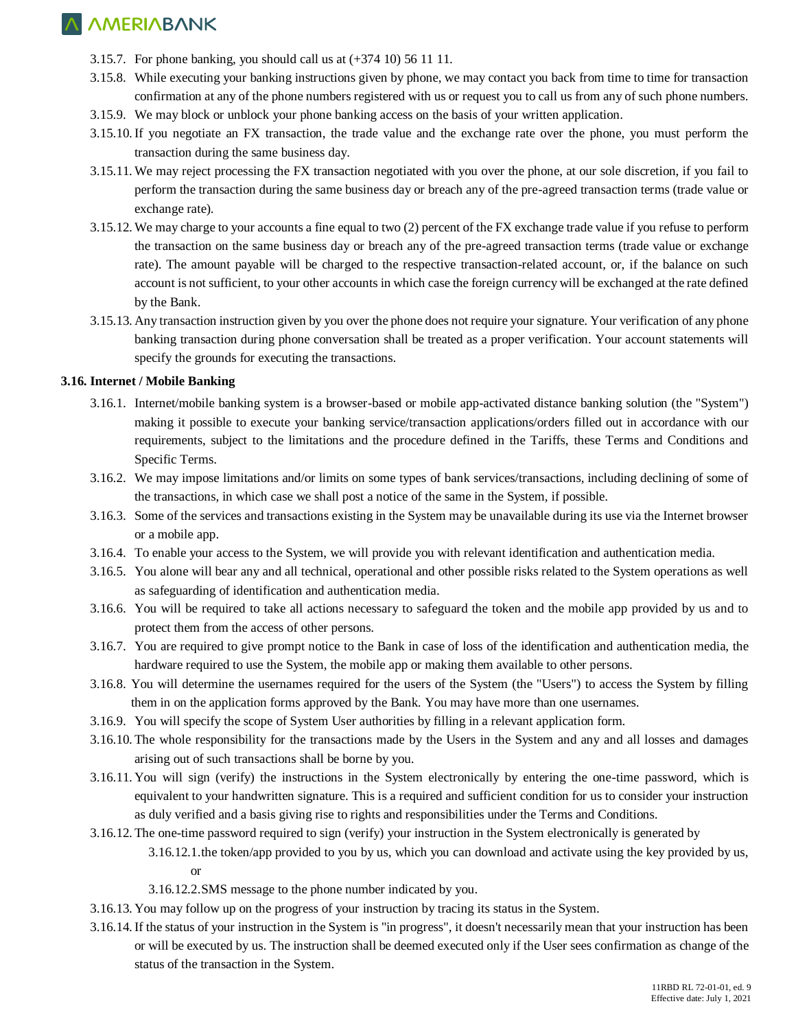- 3.15.7. For phone banking, you should call us at (+374 10) 56 11 11.
- 3.15.8. While executing your banking instructions given by phone, we may contact you back from time to time for transaction confirmation at any of the phone numbers registered with us or request you to call us from any of such phone numbers.
- 3.15.9. We may block or unblock your phone banking access on the basis of your written application.
- 3.15.10.If you negotiate an FX transaction, the trade value and the exchange rate over the phone, you must perform the transaction during the same business day.
- 3.15.11. We may reject processing the FX transaction negotiated with you over the phone, at our sole discretion, if you fail to perform the transaction during the same business day or breach any of the pre-agreed transaction terms (trade value or exchange rate).
- 3.15.12. We may charge to your accounts a fine equal to two (2) percent of the FX exchange trade value if you refuse to perform the transaction on the same business day or breach any of the pre-agreed transaction terms (trade value or exchange rate). The amount payable will be charged to the respective transaction-related account, or, if the balance on such account is not sufficient, to your other accounts in which case the foreign currency will be exchanged at the rate defined by the Bank.
- 3.15.13. Any transaction instruction given by you over the phone does not require your signature. Your verification of any phone banking transaction during phone conversation shall be treated as a proper verification. Your account statements will specify the grounds for executing the transactions.

### **3.16. Internet / Mobile Banking**

- 3.16.1. Internet/mobile banking system is a browser-based or mobile app-activated distance banking solution (the "System") making it possible to execute your banking service/transaction applications/orders filled out in accordance with our requirements, subject to the limitations and the procedure defined in the Tariffs, these Terms and Conditions and Specific Terms.
- 3.16.2. We may impose limitations and/or limits on some types of bank services/transactions, including declining of some of the transactions, in which case we shall post a notice of the same in the System, if possible.
- 3.16.3. Some of the services and transactions existing in the System may be unavailable during its use via the Internet browser or a mobile app.
- 3.16.4. To enable your access to the System, we will provide you with relevant identification and authentication media.
- 3.16.5. You alone will bear any and all technical, operational and other possible risks related to the System operations as well as safeguarding of identification and authentication media.
- 3.16.6. You will be required to take all actions necessary to safeguard the token and the mobile app provided by us and to protect them from the access of other persons.
- 3.16.7. You are required to give prompt notice to the Bank in case of loss of the identification and authentication media, the hardware required to use the System, the mobile app or making them available to other persons.
- 3.16.8. You will determine the usernames required for the users of the System (the "Users") to access the System by filling them in on the application forms approved by the Bank. You may have more than one usernames.
- 3.16.9. You will specify the scope of System User authorities by filling in a relevant application form.
- 3.16.10. The whole responsibility for the transactions made by the Users in the System and any and all losses and damages arising out of such transactions shall be borne by you.
- 3.16.11. You will sign (verify) the instructions in the System electronically by entering the one-time password, which is equivalent to your handwritten signature. This is a required and sufficient condition for us to consider your instruction as duly verified and a basis giving rise to rights and responsibilities under the Terms and Conditions.
- 3.16.12. The one-time password required to sign (verify) your instruction in the System electronically is generated by 3.16.12.1.the token/app provided to you by us, which you can download and activate using the key provided by us, or
	- 3.16.12.2.SMS message to the phone number indicated by you.
- 3.16.13. You may follow up on the progress of your instruction by tracing its status in the System.
- 3.16.14.If the status of your instruction in the System is "in progress", it doesn't necessarily mean that your instruction has been or will be executed by us. The instruction shall be deemed executed only if the User sees confirmation as change of the status of the transaction in the System.